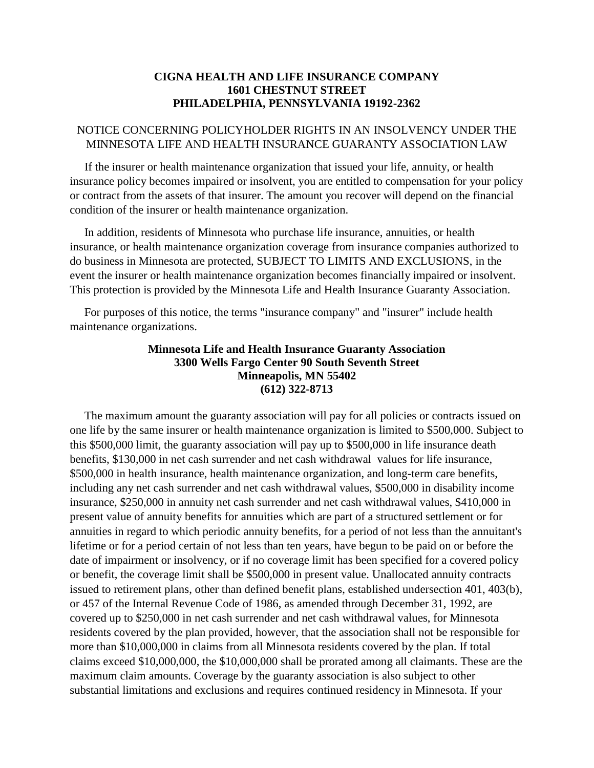## **CIGNA HEALTH AND LIFE INSURANCE COMPANY 1601 CHESTNUT STREET PHILADELPHIA, PENNSYLVANIA 19192-2362**

## NOTICE CONCERNING POLICYHOLDER RIGHTS IN AN INSOLVENCY UNDER THE MINNESOTA LIFE AND HEALTH INSURANCE GUARANTY ASSOCIATION LAW

 If the insurer or health maintenance organization that issued your life, annuity, or health insurance policy becomes impaired or insolvent, you are entitled to compensation for your policy or contract from the assets of that insurer. The amount you recover will depend on the financial condition of the insurer or health maintenance organization.

 In addition, residents of Minnesota who purchase life insurance, annuities, or health insurance, or health maintenance organization coverage from insurance companies authorized to do business in Minnesota are protected, SUBJECT TO LIMITS AND EXCLUSIONS, in the event the insurer or health maintenance organization becomes financially impaired or insolvent. This protection is provided by the Minnesota Life and Health Insurance Guaranty Association.

 For purposes of this notice, the terms "insurance company" and "insurer" include health maintenance organizations.

## **Minnesota Life and Health Insurance Guaranty Association 3300 Wells Fargo Center 90 South Seventh Street Minneapolis, MN 55402 (612) 322-8713**

 The maximum amount the guaranty association will pay for all policies or contracts issued on one life by the same insurer or health maintenance organization is limited to \$500,000. Subject to this \$500,000 limit, the guaranty association will pay up to \$500,000 in life insurance death benefits, \$130,000 in net cash surrender and net cash withdrawal values for life insurance, \$500,000 in health insurance, health maintenance organization, and long-term care benefits, including any net cash surrender and net cash withdrawal values, \$500,000 in disability income insurance, \$250,000 in annuity net cash surrender and net cash withdrawal values, \$410,000 in present value of annuity benefits for annuities which are part of a structured settlement or for annuities in regard to which periodic annuity benefits, for a period of not less than the annuitant's lifetime or for a period certain of not less than ten years, have begun to be paid on or before the date of impairment or insolvency, or if no coverage limit has been specified for a covered policy or benefit, the coverage limit shall be \$500,000 in present value. Unallocated annuity contracts issued to retirement plans, other than defined benefit plans, established undersection 401, 403(b), or 457 of the Internal Revenue Code of 1986, as amended through December 31, 1992, are covered up to \$250,000 in net cash surrender and net cash withdrawal values, for Minnesota residents covered by the plan provided, however, that the association shall not be responsible for more than \$10,000,000 in claims from all Minnesota residents covered by the plan. If total claims exceed \$10,000,000, the \$10,000,000 shall be prorated among all claimants. These are the maximum claim amounts. Coverage by the guaranty association is also subject to other substantial limitations and exclusions and requires continued residency in Minnesota. If your